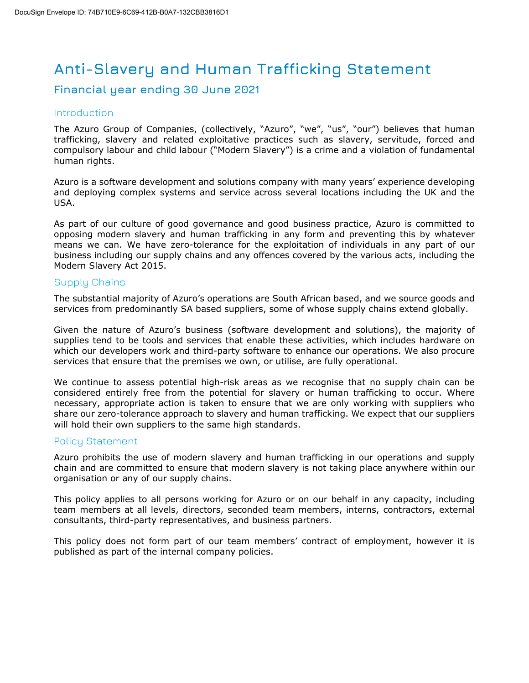# **Anti-Slavery and Human Trafficking Statement**

# **Financial year ending 30 June 2021**

### **Introduction**

The Azuro Group of Companies, (collectively, "Azuro", "we", "us", "our") believes that human trafficking, slavery and related exploitative practices such as slavery, servitude, forced and compulsory labour and child labour ("Modern Slavery") is a crime and a violation of fundamental human rights.

Azuro is a software development and solutions company with many years' experience developing and deploying complex systems and service across several locations including the UK and the USA.

As part of our culture of good governance and good business practice, Azuro is committed to opposing modern slavery and human trafficking in any form and preventing this by whatever means we can. We have zero-tolerance for the exploitation of individuals in any part of our business including our supply chains and any offences covered by the various acts, including the Modern Slavery Act 2015.

# Supply Chains

The substantial majority of Azuro's operations are South African based, and we source goods and services from predominantly SA based suppliers, some of whose supply chains extend globally.

Given the nature of Azuro's business (software development and solutions), the majority of supplies tend to be tools and services that enable these activities, which includes hardware on which our developers work and third-party software to enhance our operations. We also procure services that ensure that the premises we own, or utilise, are fully operational.

We continue to assess potential high-risk areas as we recognise that no supply chain can be considered entirely free from the potential for slavery or human trafficking to occur. Where necessary, appropriate action is taken to ensure that we are only working with suppliers who share our zero-tolerance approach to slavery and human trafficking. We expect that our suppliers will hold their own suppliers to the same high standards.

# Policy Statement

Azuro prohibits the use of modern slavery and human trafficking in our operations and supply chain and are committed to ensure that modern slavery is not taking place anywhere within our organisation or any of our supply chains.

This policy applies to all persons working for Azuro or on our behalf in any capacity, including team members at all levels, directors, seconded team members, interns, contractors, external consultants, third-party representatives, and business partners.

This policy does not form part of our team members' contract of employment, however it is published as part of the internal company policies.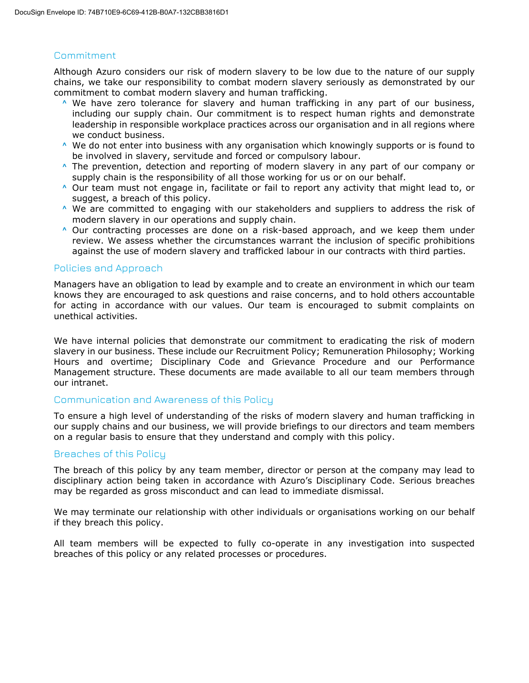#### Commitment

Although Azuro considers our risk of modern slavery to be low due to the nature of our supply chains, we take our responsibility to combat modern slavery seriously as demonstrated by our commitment to combat modern slavery and human trafficking.

- $\land$  We have zero tolerance for slavery and human trafficking in any part of our business, including our supply chain. Our commitment is to respect human rights and demonstrate leadership in responsible workplace practices across our organisation and in all regions where we conduct business.
- $\land$  We do not enter into business with any organisation which knowingly supports or is found to be involved in slavery, servitude and forced or compulsory labour.
- $\land$  The prevention, detection and reporting of modern slavery in any part of our company or supply chain is the responsibility of all those working for us or on our behalf.
- $\land$  Our team must not engage in, facilitate or fail to report any activity that might lead to, or suggest, a breach of this policy.
- $\land$  We are committed to engaging with our stakeholders and suppliers to address the risk of modern slavery in our operations and supply chain.
- $\land$  Our contracting processes are done on a risk-based approach, and we keep them under review. We assess whether the circumstances warrant the inclusion of specific prohibitions against the use of modern slavery and trafficked labour in our contracts with third parties.

#### Policies and Approach

Managers have an obligation to lead by example and to create an environment in which our team knows they are encouraged to ask questions and raise concerns, and to hold others accountable for acting in accordance with our values. Our team is encouraged to submit complaints on unethical activities.

We have internal policies that demonstrate our commitment to eradicating the risk of modern slavery in our business. These include our Recruitment Policy; Remuneration Philosophy; Working Hours and overtime; Disciplinary Code and Grievance Procedure and our Performance Management structure. These documents are made available to all our team members through our intranet.

#### Communication and Awareness of this Policy

To ensure a high level of understanding of the risks of modern slavery and human trafficking in our supply chains and our business, we will provide briefings to our directors and team members on a regular basis to ensure that they understand and comply with this policy.

#### Breaches of this Policy

The breach of this policy by any team member, director or person at the company may lead to disciplinary action being taken in accordance with Azuro's Disciplinary Code. Serious breaches may be regarded as gross misconduct and can lead to immediate dismissal.

We may terminate our relationship with other individuals or organisations working on our behalf if they breach this policy.

All team members will be expected to fully co-operate in any investigation into suspected breaches of this policy or any related processes or procedures.